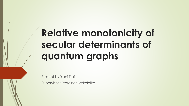# **Relative monotonicity of secular determinants of quantum graphs**

Present by Yaqi Dai

Supervisor : Professor Berkolaiko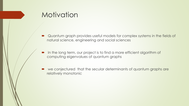# **Motivation**

- Quantum graph provides useful models for complex systems in the fields of natural science, engineering and social sciences
- In the long term, our project is to find a more efficient algorithm of computing eigenvalues of quantum graphs
- we conjectured that the secular determinants of quantum graphs are relatively monotonic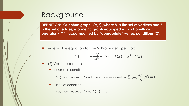# Background

**DEFINITION: Quantum graph (V,E) ,where V is the set of vertices and E is the set of edges, is a metric graph equipped with a Hamiltonian operator H (1) , accompanied by "appropriate" vertex conditions (2).**

eigenvalue equation for the Schrödinger operator:

$$
-\frac{d^2f}{dx^2} + V(x) \cdot f(x) = k^2 \cdot f(x)
$$

- (2) Vertex conditions:
	- Neumann condition:

 $f(x)$  is continuous on  $\mathsf \Gamma$  and at each vertex v one has  $\, \sum_{e \in E_{\bm v}}$  $df$  $dx_e$  $(v) = 0$ 

Dirichlet condition:

 $f(x)$  is continuous on  $\Gamma$  and  $f(v) = 0$ 

 $(1)$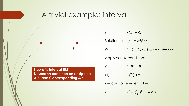# A trivial example: interval

 $A$   $B$  $\overline{L}$ 

**Figure 1. interval [0,L], Neumann condition on endpoints A,B, and 0 corresponding A ;** 

(1)  $V(x) \equiv 0;$ Solution for  $-f'' = k^2 f$  on L: (2)  $f(x) = C_1 \cos(kx) + C_2 \sin(kx)$ Apply vertex conditions: (3)  $f'(0) = 0$ (4)  $-f'(L) = 0$ we can solve eigenvalues:

(5)  $2=\left(\frac{\pi n}{l}\right)$ L  $)$ <sup>2</sup>,  $n \in N$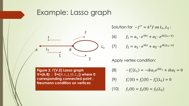#### Example: Lasso graph



Figure 2.  $\Gamma$ (V,E) Lasso graph  $V = \{A, B\}$  ;  $E = \{[0, L_1], [0, L_2]\}$  where 0 **corresponding connected point ; Neumann condition on vertices**

Solution for  $-f'' = k^2 f$  on  $L_1, L_2$ :

(6) 
$$
f_1 = a_1 \cdot e^{ikx} + a_{\overline{1}} \cdot e^{ik(L_1 - x)}
$$

$$
f_2 = a_2 \cdot e^{ikx} + a_{\overline{2}} \cdot e^{ik(L_2 - x)}
$$

Apply vertex condition:

(8) 
$$
-f_1'(L_1) = -ika_1e^{ikL_1} + ika_{\overline{1}} = 0
$$

(9) 
$$
f'_1(0) + f'_2(0) - f'_2(L_2) = 0
$$

(10) 
$$
f_1(0) = f_2(0) = f_2(L_2)
$$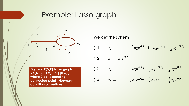### Example: Lasso graph



Figure 2.  $\Gamma$ (V,E) Lasso graph  $V = \{A, B\}$  ;  $E = \{[0, L_1], [0, L_2]\}$ **where 0 corresponding connected point ; Neumann condition on vertices**

We get the system (11)  $a_1 = -\frac{1}{3}$  $\frac{1}{3}a_{\overline{1}}e^{ikL_1} + \frac{2}{3}$  $\frac{2}{3}a_2e^{ikL_2} + \frac{2}{3}$  $\frac{2}{3}a_{\overline{2}}e^{ikL_2}$ (12)  $a_{\bar{1}} = a_1 e^{ikL_1}$ (13)  $a_2 = \frac{2}{3}$  $\frac{2}{3}a_{\overline{1}}e^{ikL_1} + \frac{2}{3}$  $\frac{2}{3}a_2e^{ikL_2}-\frac{1}{3}$  $\frac{1}{3}a_{\overline{2}}e^{ikL_2}$ (14)  $a_{\overline{2}} = \frac{2}{3}$  $\frac{2}{3}a_{\overline{1}}e^{ikL_1}-\frac{1}{3}$  $\frac{1}{3}a_2e^{ikL_2} + \frac{2}{3}$  $\frac{2}{3}a_{\overline{2}}e^{ikL_2}$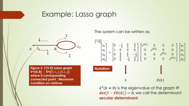### Example: Lasso graph



**Figure 2.**  $\Gamma$ **(V,E) Lasso graph**  $V = \{A, B\}$  ;  $E = \{[0, L_1], [0, L_2]\}$ **where 0 corresponding connected point ; Neumann condition on vertices**

The system can be written as:



 $k^2$ ( $k \neq 0$ ) is the eigenvalue of the graph iff  $det(I - SD(k)) = 0$ , we call the determinant **secular determinant**.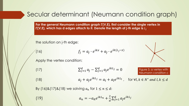#### Secular determinant (Neumann condition graph)

For the general Neumann condition graph  $\Gamma(V,E)$ , first consider the single vertex in **(V,E), which has d edges attach to it. Denote the length of j-th edge is**  ,

the solution on j-th edge:

(16) 
$$
f_j = a_j \cdot e^{ikx} + a_{\bar{j}} \cdot e^{ik(L_j - x)}
$$

Apply the vertex condition:

(17) 
$$
\sum_{j=1}^{d} a_j - \sum_{j=1}^{d} a_{\bar{j}} e^{ikL_j} = 0
$$

Figure 3. a vertex with Neumann condition c

(18) 
$$
a_j + a_{\bar{j}}e^{ikL_j} = a_l + a_{\bar{l}}e^{ikL_l}, \text{ for } \forall l, k \in \mathbb{N}^* \text{ and } l, k \leq d
$$

By (16)&(17)&(18) we solving  $a_n$  for  $1 \le n \le d$ :

(19) 
$$
a_n = -a_{\bar{n}}e^{ikL_n} + \frac{2}{d}\sum_{j=1}^d a_{\bar{j}}e^{ikL_j}
$$

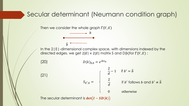#### Secular determinant (Neumann condition graph)

 $\boldsymbol{b}$ 

Then we consider the whole graph  $\Gamma(V,E)$ 

 $\overline{b}$ 

In the 2|E|-dimensional complex space, with dimensions indexed by the directed edges. we get  $2|E| \times 2|E|$  matrix S and D(k)for  $\Gamma(V, E)$ :

(20)  
\n
$$
D(k)_{b,b} = e^{ikL_b}
$$
\n
$$
S_{b',b} = \begin{cases}\n\frac{2}{d} - 1 & \text{if } b' = \overline{b} \\
\frac{2}{d} & \text{if } b' \text{ follows } b \text{ and } b' \neq \overline{b} \\
0 & \text{otherwise}\n\end{cases}
$$

The secular determinant is  $\det(I - SD(k))$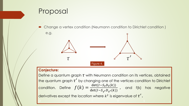# Proposal

 Change a vertex condition (Neumann condition to Dirichlet condition ) e.g.



#### **Conjecture:**

Define a quantum graph  $\tau$  with Neumann condition on its vertices, obtained the quantum graph  $\tau'$  by changing one of the vertices condition to Dirichlet condition. Define  $f(k) =$ det( $I-S_{\tau}D_{\tau}(k)$ )  $\det(I-S_{\tau'}D_{\tau'}(k))$ , and f(k) has negative derivatives except the location where  $k^2$  is eigenvalue of  $\tau'$  .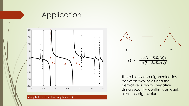### **Application**



Graph 1. part of the graph for  $f(k)$ 



There is only one eigenvalue lies between two poles and the derivative is always negative. Using Secant Algorithm can easily solve this eigenvalue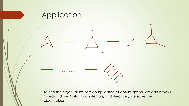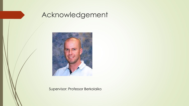

# Acknowledgement



Supervisor: Professor Berkolaiko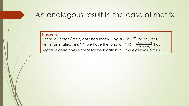# An analogous result in the case of matrix

#### Theorem:

Define a vector  $\vec{V} \in \mathcal{C}^n$ , obtained matrix B by  $B = \vec{V} \cdot \vec{V}^T$ , for any real Hermitian matrix  $A \in C^{n \times n}$ , we have the function  $f(\lambda) = \frac{\det(A+B-\lambda I)}{\det(A-\lambda I)}$  $det(A - \lambda I)$ has negative derivatives except for the locations *λ* is the eigenvalue for A.